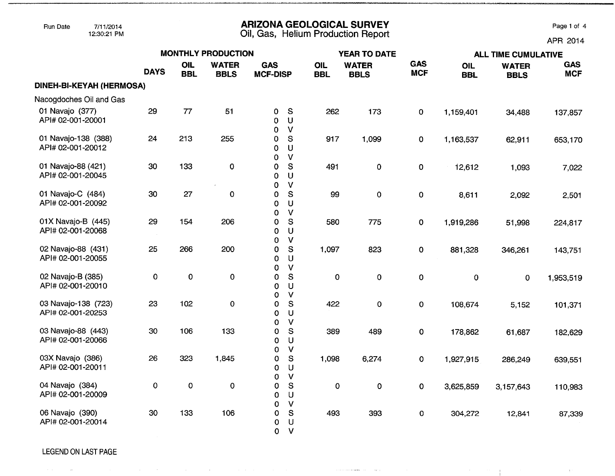### Run Date 7/11/2014 **ARIZONA GEOLOGICAL SURVEY** Page 1 of 4

12:30:21 PM Oil, Gas, **Helium Production Report** APR 2014

 $\sim$  1  $^{\circ}$ 

 $\frac{1}{2}$ 

|                                          |                    |                   | <b>MONTHLY PRODUCTION</b>   |                               |                                                   |                   | <b>YEAR TO DATE</b>         |                          |                   | <b>ALL TIME CUMULATIVE</b>  |                          |  |  |
|------------------------------------------|--------------------|-------------------|-----------------------------|-------------------------------|---------------------------------------------------|-------------------|-----------------------------|--------------------------|-------------------|-----------------------------|--------------------------|--|--|
|                                          | <b>DAYS</b>        | OIL<br><b>BBL</b> | <b>WATER</b><br><b>BBLS</b> | <b>GAS</b><br><b>MCF-DISP</b> |                                                   | OIL<br><b>BBL</b> | <b>WATER</b><br><b>BBLS</b> | <b>GAS</b><br><b>MCF</b> | OIL<br><b>BBL</b> | <b>WATER</b><br><b>BBLS</b> | <b>GAS</b><br><b>MCF</b> |  |  |
| DINEH-BI-KEYAH (HERMOSA)                 |                    |                   |                             |                               |                                                   |                   |                             |                          |                   |                             |                          |  |  |
| Nacogdoches Oil and Gas                  |                    |                   |                             |                               |                                                   |                   |                             |                          |                   |                             |                          |  |  |
| 01 Navajo (377)<br>API# 02-001-20001     | 29                 | 77                | 51                          | $\mathbf 0$<br>$\Omega$<br>0  | S<br>$\sf U$<br>$\mathsf{V}$                      | 262               | 173                         | $\mathbf 0$              | 1,159,401         | 34,488                      | 137,857                  |  |  |
| 01 Navajo-138 (388)<br>API# 02-001-20012 | 24                 | 213               | 255                         | 0<br>0<br>$\Omega$            | S<br>U<br>$\vee$                                  | 917               | 1,099                       | $\mathbf 0$              | 1,163,537         | 62,911                      | 653,170                  |  |  |
| 01 Navajo-88 (421)<br>API# 02-001-20045  | 30                 | 133               | $\pmb{0}$                   | 0<br>0                        | ${\sf S}$<br>U                                    | 491               | $\mathbf 0$                 | $\mathbf 0$              | 12,612            | 1,093                       | 7,022                    |  |  |
| 01 Navajo-C (484)<br>API# 02-001-20092   | 30                 | 27                | $\pmb{0}$                   | 0<br>0<br>0                   | $\mathsf{V}$<br>S<br>U                            | 99                | $\pmb{0}$                   | $\mathbf 0$              | 8,611             | 2,092                       | 2,501                    |  |  |
| 01X Navajo-B (445)<br>API# 02-001-20068  | 29                 | 154               | 206                         | $\mathbf 0$<br>0<br>0         | $\mathsf{V}$<br>$\mathbf S$<br>U                  | 580               | 775                         | $\pmb{0}$                | 1,919,286         | 51,998                      | 224,817                  |  |  |
| 02 Navajo-88 (431)<br>API# 02-001-20055  | 25                 | 266               | 200                         | 0<br>0<br>0                   | $\mathsf{V}$<br>${\mathsf S}$<br>$\cup$           | 1,097             | 823                         | $\mathbf 0$              | 881,328           | 346,261                     | 143,751                  |  |  |
| 02 Navajo-B (385)<br>API# 02-001-20010   | $\mathbf 0$        | $\pmb{0}$         | $\mathbf 0$                 | 0<br>$\mathbf 0$<br>0<br>O    | $\mathsf{V}$<br>${\mathsf S}$<br>U<br>$\mathbf v$ | $\mathbf 0$       | $\mathbf 0$                 | $\mathbf 0$              | $\mathbf 0$       | $\mathbf{O}$                | 1,953,519                |  |  |
| 03 Navajo-138 (723)<br>API# 02-001-20253 | 23                 | 102               | 0                           | 0<br>$\Omega$<br>0            | S<br>U<br>$\mathbf{V}$                            | 422               | $\mathbf 0$                 | $\pmb{0}$                | 108,674           | 5,152                       | 101,371                  |  |  |
| 03 Navajo-88 (443)<br>API# 02-001-20066  | 30                 | 106               | 133                         | 0<br>0<br>0                   | S<br>$\cup$<br>$\mathsf{V}$                       | 389               | 489                         | $\mathbf 0$              | 178,862           | 61,687                      | 182,629                  |  |  |
| 03X Navajo (386)<br>API# 02-001-20011    | 26                 | 323               | 1,845                       | 0<br>0<br>0                   | ${\sf S}$<br>$\cup$<br>$\mathsf{V}$               | 1,098             | 6,274                       | $\mathbf 0$              | 1,927,915         | 286,249                     | 639,551                  |  |  |
| 04 Navajo (384)<br>API# 02-001-20009     | $\pmb{\mathsf{O}}$ | 0                 | $\mathbf 0$                 | 0<br>$\Omega$                 | S<br>U<br>$\mathsf{V}$                            | $\pmb{0}$         | $\mathbf 0$                 | $\mathbf 0$              | 3,625,859         | 3,157,643                   | 110,983                  |  |  |
| 06 Navajo (390)<br>API# 02-001-20014     | 30                 | 133               | 106                         | 0<br>0<br>0<br>$\mathbf{O}$   | $\mathbf{s}$<br>U<br>$\vee$                       | 493               | 393                         | 0                        | 304,272           | 12,841                      | 87,339                   |  |  |

a construction of the species of the

 $\sim$ r $\sim$ r.

#### LEGEND ON LAST PAGE

 $\sim$ 

 $\sim 10^{-1}$ 

 $\sim 10$ 

 $\alpha$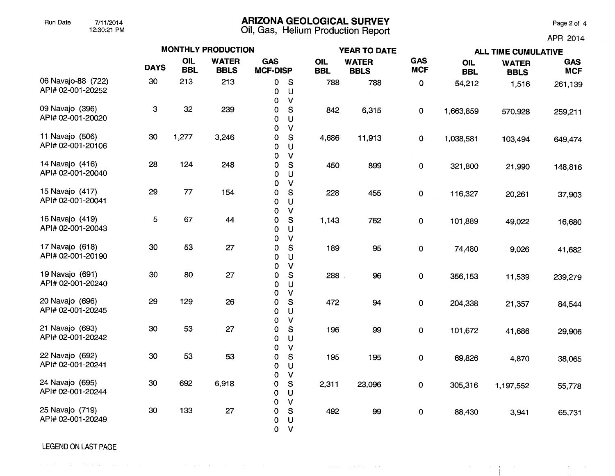## Run Date 7/11/2014 **ARIZONA GEOLOGICAL SURVEY** Page 2 of 4

12:30:21 PM Oil, Gas, Helium Production Report

APR 2014

 $\mathcal{O}(\mathcal{O}(\log n))$ 

 $\mathbf{A}^{(1)}$  and  $\mathbf{A}^{(2)}$ 

|                                         |             |                   | <b>MONTHLY PRODUCTION</b>   |                               |                                        |                   | <b>YEAR TO DATE</b>         |                          | <b>ALL TIME CUMULATIVE</b> |                             |                          |  |
|-----------------------------------------|-------------|-------------------|-----------------------------|-------------------------------|----------------------------------------|-------------------|-----------------------------|--------------------------|----------------------------|-----------------------------|--------------------------|--|
|                                         | <b>DAYS</b> | OIL<br><b>BBL</b> | <b>WATER</b><br><b>BBLS</b> | <b>GAS</b><br><b>MCF-DISP</b> |                                        | OIL<br><b>BBL</b> | <b>WATER</b><br><b>BBLS</b> | <b>GAS</b><br><b>MCF</b> | OIL<br><b>BBL</b>          | <b>WATER</b><br><b>BBLS</b> | <b>GAS</b><br><b>MCF</b> |  |
| 06 Navajo-88 (722)<br>API# 02-001-20252 | 30          | 213               | 213                         | 0<br>0<br>0                   | S<br>$\cup$<br>$\mathsf{V}$            | 788               | 788                         | $\pmb{0}$                | 54,212                     | 1,516                       | 261,139                  |  |
| 09 Navajo (396)<br>API# 02-001-20020    | 3           | 32                | 239                         | 0<br>0                        | S<br>U                                 | 842               | 6,315                       | $\mathbf 0$              | 1,663,859                  | 570,928                     | 259,211                  |  |
| 11 Navajo (506)<br>API# 02-001-20106    | 30          | 1,277             | 3,246                       | 0<br>0<br>0                   | $\vee$<br>S<br>$\cup$                  | 4,686             | 11,913                      | $\mathbf 0$              | 1,038,581                  | 103,494                     | 649,474                  |  |
| 14 Navajo (416)<br>API# 02-001-20040    | 28          | 124               | 248                         | 0<br>0<br>0                   | $\mathsf{V}$<br>$\mathbf{s}$<br>U      | 450               | 899                         | $\pmb{0}$                | 321,800                    | 21,990                      | 148,816                  |  |
| 15 Navajo (417)<br>API# 02-001-20041    | 29          | 77                | 154                         | 0<br>0<br>0                   | $\mathsf{V}$<br>S<br>U                 | 228               | 455                         | 0                        | 116,327                    | 20,261                      | 37,903                   |  |
| 16 Navajo (419)<br>API# 02-001-20043    | 5           | 67                | 44                          | 0<br>0<br>0                   | $\vee$<br>S<br>U                       | 1,143             | 762                         | 0                        | 101,889                    | 49,022                      | 16,680                   |  |
| 17 Navajo (618)<br>API# 02-001-20190    | 30          | 53                | 27                          | 0<br>0<br>0                   | $\mathsf{V}$<br>$\mathsf{S}$<br>$\cup$ | 189               | 95                          | $\pmb{0}$                | 74,480                     | 9,026                       | 41,682                   |  |
| 19 Navajo (691)<br>API# 02-001-20240    | 30          | 80                | 27                          | 0<br>0<br>0                   | $\mathsf{V}$<br>${\mathbb S}$<br>U     | 288               | 96                          | 0                        | 356,153                    | 11,539                      | 239,279                  |  |
| 20 Navajo (696)<br>API# 02-001-20245    | 29          | 129               | 26                          | 0<br>0<br>0                   | $\mathsf{V}$<br>S<br>U                 | 472               | 94                          | $\pmb{\mathsf{O}}$       | 204,338                    | 21,357                      | 84,544                   |  |
| 21 Navajo (693)<br>API# 02-001-20242    | 30          | 53                | 27                          | 0<br>0<br>0                   | V<br>S<br>U                            | 196               | 99                          | $\pmb{\mathsf{O}}$       | 101,672                    | 41,686                      | 29,906                   |  |
| 22 Navajo (692)<br>API# 02-001-20241    | 30          | 53                | 53                          | 0<br>0<br>0                   | $\mathsf{V}$<br>S<br>$\cup$            | 195               | 195                         | 0                        | 69,826                     | 4,870                       | 38,065                   |  |
| 24 Navajo (695)<br>API# 02-001-20244    | 30          | 692               | 6,918                       | 0<br>0<br>0                   | $\mathsf{V}$<br>${\mathbb S}$<br>U     | 2,311             | 23,096                      | 0                        | 305,316                    | 1,197,552                   | 55,778                   |  |
| 25 Navajo (719)<br>API# 02-001-20249    | 30          | 133               | 27                          | 0<br>0<br>0<br>0              | $\vee$<br>S<br>$\cup$<br>$\mathsf{V}$  | 492               | 99                          | $\pmb{0}$                | 88,430                     | 3,941                       | 65,731                   |  |

 $\sim$  10  $\mu$  m and  $\mu$  . The maximum are  $\sim$  10  $\mu$  m and

LEGEND ON LAST PAGE

والمستحدث والمتواد والمستور والمتواطن والمستحيل والمستحدث والمتعارض المستحدث والمستحدث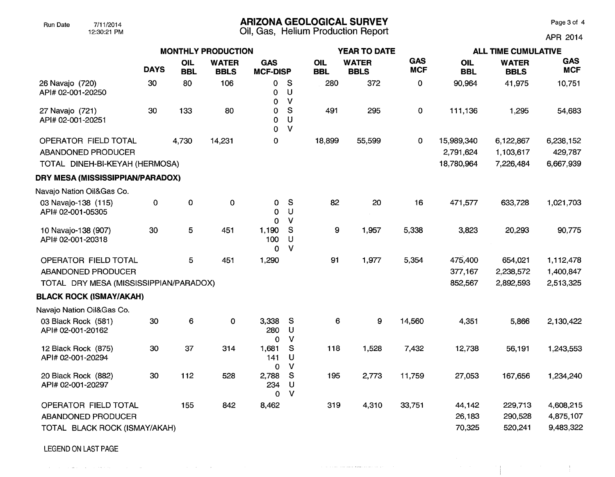# Run Date 7/11/2014 **ARIZONA GEOLOGICAL SURVEY** Page 3 of 4

12:30:21 PM Oil, Gas, Helium Production Report APR 2014

 $\frac{1}{2}$ 

|                                                                              |             |                   | <b>MONTHLY PRODUCTION</b>   |                                 |                                    |                   | <b>YEAR TO DATE</b>         |                          | <b>ALL TIME CUMULATIVE</b>            |                                     |                                   |  |
|------------------------------------------------------------------------------|-------------|-------------------|-----------------------------|---------------------------------|------------------------------------|-------------------|-----------------------------|--------------------------|---------------------------------------|-------------------------------------|-----------------------------------|--|
|                                                                              | <b>DAYS</b> | OIL<br><b>BBL</b> | <b>WATER</b><br><b>BBLS</b> | <b>GAS</b><br><b>MCF-DISP</b>   |                                    | OIL<br><b>BBL</b> | <b>WATER</b><br><b>BBLS</b> | <b>GAS</b><br><b>MCF</b> | <b>OIL</b><br><b>BBL</b>              | <b>WATER</b><br><b>BBLS</b>         | <b>GAS</b><br><b>MCF</b>          |  |
| 26 Navajo (720)<br>API# 02-001-20250                                         | 30          | 80                | 106                         | 0<br>$\mathbf 0$<br>$\mathbf 0$ | S<br>U<br>$\mathsf{V}$             | 280               | 372                         | 0                        | 90,964                                | 41,975                              | 10,751                            |  |
| 27 Navajo (721)<br>API# 02-001-20251                                         | 30          | 133               | 80                          | 0<br>0<br>0                     | S<br>U<br>$\vee$                   | 491               | 295                         | 0                        | 111,136                               | 1,295                               | 54,683                            |  |
| OPERATOR FIELD TOTAL<br>ABANDONED PRODUCER<br>TOTAL DINEH-BI-KEYAH (HERMOSA) |             | 4,730             | 14,231                      | $\mathbf 0$                     |                                    | 18,899            | 55,599                      | 0                        | 15,989,340<br>2,791,624<br>18,780,964 | 6,122,867<br>1,103,617<br>7,226,484 | 6,238,152<br>429,787<br>6,667,939 |  |
| DRY MESA (MISSISSIPPIAN/PARADOX)                                             |             |                   |                             |                                 |                                    |                   |                             |                          |                                       |                                     |                                   |  |
| Navajo Nation Oil&Gas Co.                                                    |             |                   |                             |                                 |                                    |                   |                             |                          |                                       |                                     |                                   |  |
| 03 Navajo-138 (115)<br>API# 02-001-05305                                     | 0           | 0                 | $\mathbf 0$                 | 0<br>0<br>$\Omega$              | S<br>$\cup$<br>$\vee$              | 82                | 20                          | 16                       | 471,577                               | 633,728                             | 1,021,703                         |  |
| 10 Navajo-138 (907)<br>API# 02-001-20318                                     | 30          | 5                 | 451                         | 1,190<br>100<br>$\Omega$        | S<br>$\cup$<br>$\vee$              | 9                 | 1,957                       | 5,338                    | 3,823                                 | 20,293                              | 90,775                            |  |
| OPERATOR FIELD TOTAL                                                         |             | 5                 | 451                         | 1,290                           |                                    | 91                | 1,977                       | 5,354                    | 475,400                               | 654,021                             | 1,112,478                         |  |
| ABANDONED PRODUCER                                                           |             |                   |                             |                                 |                                    |                   |                             |                          | 377,167                               | 2,238,572                           | 1,400,847                         |  |
| TOTAL DRY MESA (MISSISSIPPIAN/PARADOX)                                       |             |                   |                             |                                 |                                    |                   |                             |                          | 852,567                               | 2,892,593                           | 2,513,325                         |  |
| <b>BLACK ROCK (ISMAY/AKAH)</b>                                               |             |                   |                             |                                 |                                    |                   |                             |                          |                                       |                                     |                                   |  |
| Navajo Nation Oil&Gas Co.                                                    |             |                   |                             |                                 |                                    |                   |                             |                          |                                       |                                     |                                   |  |
| 03 Black Rock (581)<br>API# 02-001-20162                                     | 30          | $6\phantom{1}6$   | $\mathbf 0$                 | 3,338<br>280<br>$\mathbf 0$     | S<br>$\mathsf U$<br>$\mathbf{V}$   | 6                 | 9                           | 14,560                   | 4,351                                 | 5,866                               | 2,130,422                         |  |
| 12 Black Rock (875)<br>API# 02-001-20294                                     | 30          | 37                | 314                         | 1,681<br>141<br>0               | ${\mathbb S}$<br>U<br>$\mathsf{V}$ | 118               | 1,528                       | 7,432                    | 12,738                                | 56,191                              | 1,243,553                         |  |
| 20 Black Rock (882)<br>API# 02-001-20297                                     | 30          | 112               | 528                         | 2,788<br>234<br>$\Omega$        | $\mathbb S$<br>$\cup$<br>$\vee$    | 195               | 2,773                       | 11,759                   | 27,053                                | 167,656                             | 1,234,240                         |  |
| OPERATOR FIELD TOTAL                                                         |             | 155               | 842                         | 8,462                           |                                    | 319               | 4,310                       | 33,751                   | 44,142                                | 229,713                             | 4,608,215                         |  |
| ABANDONED PRODUCER<br>TOTAL BLACK ROCK (ISMAY/AKAH)                          |             |                   |                             |                                 |                                    |                   |                             |                          | 26,183<br>70,325                      | 290,528<br>520,241                  | 4,875,107<br>9,483,322            |  |

 $\mathcal{A}^{\mathcal{A}}$  and  $\mathcal{A}^{\mathcal{A}}$  are associated to the contract of  $\mathcal{A}^{\mathcal{A}}$ 

LEGEND ON LAST PAGE

. The second constraints of the constraints of the second constraints of the second constraints  $\mathcal{L}_\text{c}$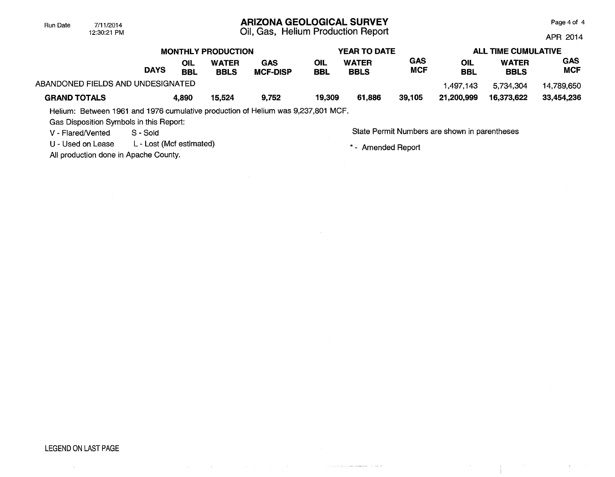## ARIZONA GEOLOGICAL SURVEY

Oil, Gas, Helium Production Report

Page 4 of 4

 $\mathcal{A}^{\mathcal{A}}$  and  $\mathcal{A}^{\mathcal{A}}$ 

APR 2014

|                                   |             |                   | <b>MONTHLY PRODUCTION</b>   |                        | <b>YEAR TO DATE</b> |                             |                   | <b>ALL TIME CUMULATIVE</b> |                             |                          |
|-----------------------------------|-------------|-------------------|-----------------------------|------------------------|---------------------|-----------------------------|-------------------|----------------------------|-----------------------------|--------------------------|
|                                   | <b>DAYS</b> | OIL<br><b>BBL</b> | <b>WATER</b><br><b>BBLS</b> | GAS<br><b>MCF-DISP</b> | OIL<br>BBL          | <b>WATER</b><br><b>BBLS</b> | GAS<br><b>MCF</b> | OIL<br><b>BBL</b>          | <b>WATER</b><br><b>BBLS</b> | <b>GAS</b><br><b>MCF</b> |
| ABANDONED FIELDS AND UNDESIGNATED |             |                   |                             |                        |                     |                             |                   | 1.497.143                  | 5.734,304                   | 14.789.650               |
| <b>GRAND TOTALS</b>               |             | 4.890             | 15,524                      | 9.752                  | 19,309              | 61.886                      | 39.105            | 21.200.999                 | 16.373.622                  | 33.454.236               |

Helium: Between 1961 and 1976 cumulative production of Helium was 9,237,801 MCF.

 $\sim$ 

Gas Disposition Symbols in this Report:

12:30:21 PM

Run Date 7/11/2014

U - Used on Lease L - Lost (Mcf estimated)

All production done in Apache County.

V - Flared/Vented S - Sold Sold State Permit Numbers are shown in parentheses

 $\alpha$  ,  $\alpha$  ,  $\alpha$ 

\* - Amended Report

 $\sim$  100 km and productions are<br>improved a compared by

### LEGEND ON LAST PAGE

 $\sim$